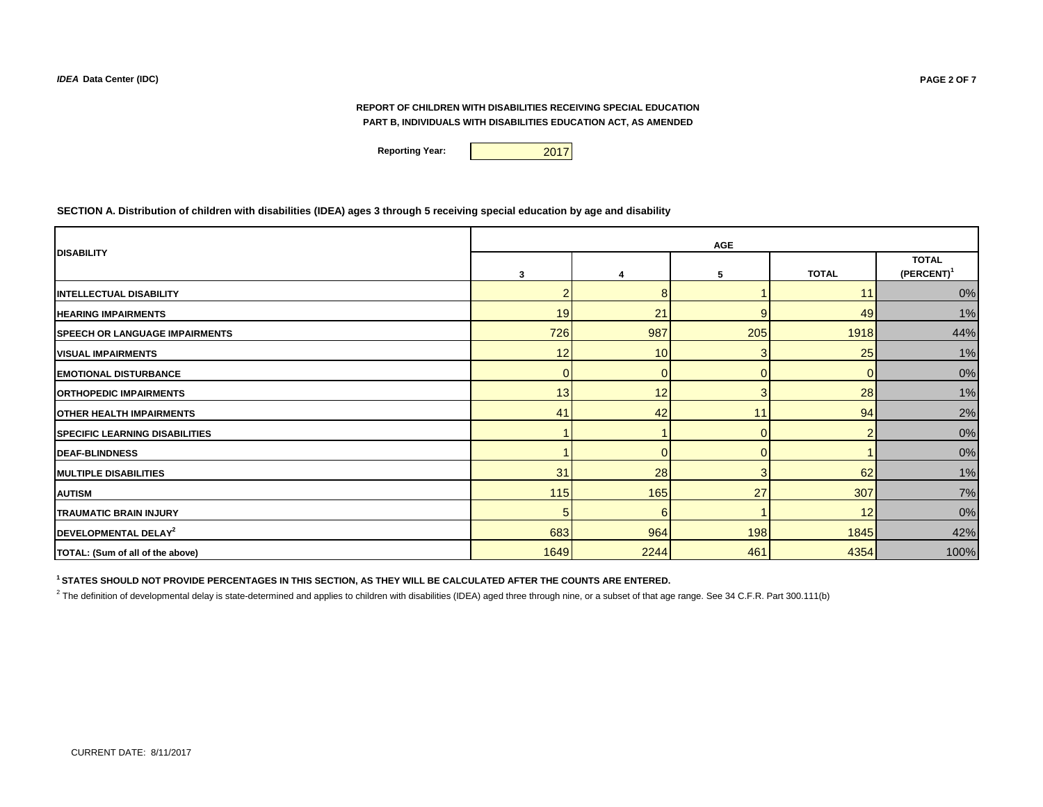**Reporting Year: 2017** 

**SECTION A. Distribution of children with disabilities (IDEA) ages 3 through 5 receiving special education by age and disability**

|                                        | <b>AGE</b> |                 |                |                |                               |  |  |  |
|----------------------------------------|------------|-----------------|----------------|----------------|-------------------------------|--|--|--|
| <b>DISABILITY</b>                      | 3          |                 | 5              | <b>TOTAL</b>   | <b>TOTAL</b><br>$(PERCENT)^1$ |  |  |  |
| <b>INTELLECTUAL DISABILITY</b>         |            | 8               |                | 11.            | 0%                            |  |  |  |
| <b>HEARING IMPAIRMENTS</b>             | 19         | 21              |                | 49             | 1%                            |  |  |  |
| <b>SPEECH OR LANGUAGE IMPAIRMENTS</b>  | 726        | 987             | 205            | 1918           | 44%                           |  |  |  |
| <b>VISUAL IMPAIRMENTS</b>              | 12         | 10 <sup>1</sup> |                | 25             | 1%                            |  |  |  |
| <b>EMOTIONAL DISTURBANCE</b>           |            | $\overline{0}$  |                | 0              | 0%                            |  |  |  |
| <b>ORTHOPEDIC IMPAIRMENTS</b>          | 13         | 12              |                | 28             | 1%                            |  |  |  |
| <b>OTHER HEALTH IMPAIRMENTS</b>        | 41         | 42              | 11             | 94             | 2%                            |  |  |  |
| <b>ISPECIFIC LEARNING DISABILITIES</b> |            |                 | $\overline{0}$ | $\overline{2}$ | 0%                            |  |  |  |
| <b>DEAF-BLINDNESS</b>                  |            | $\Omega$        | $\overline{0}$ |                | 0%                            |  |  |  |
| <b>MULTIPLE DISABILITIES</b>           | 31         | 28              | $\overline{3}$ | 62             | 1%                            |  |  |  |
| <b>AUTISM</b>                          | $115$      | 165             | 27             | 307            | 7%                            |  |  |  |
| <b>TRAUMATIC BRAIN INJURY</b>          |            | 6               |                | 12             | 0%                            |  |  |  |
| DEVELOPMENTAL DELAY <sup>2</sup>       | 683        | 964             | 198            | 1845           | 42%                           |  |  |  |
| TOTAL: (Sum of all of the above)       | 1649       | 2244            | 461            | 4354           | 100%                          |  |  |  |

**1 STATES SHOULD NOT PROVIDE PERCENTAGES IN THIS SECTION, AS THEY WILL BE CALCULATED AFTER THE COUNTS ARE ENTERED.**

<sup>2</sup> The definition of developmental delay is state-determined and applies to children with disabilities (IDEA) aged three through nine, or a subset of that age range. See 34 C.F.R. Part 300.111(b)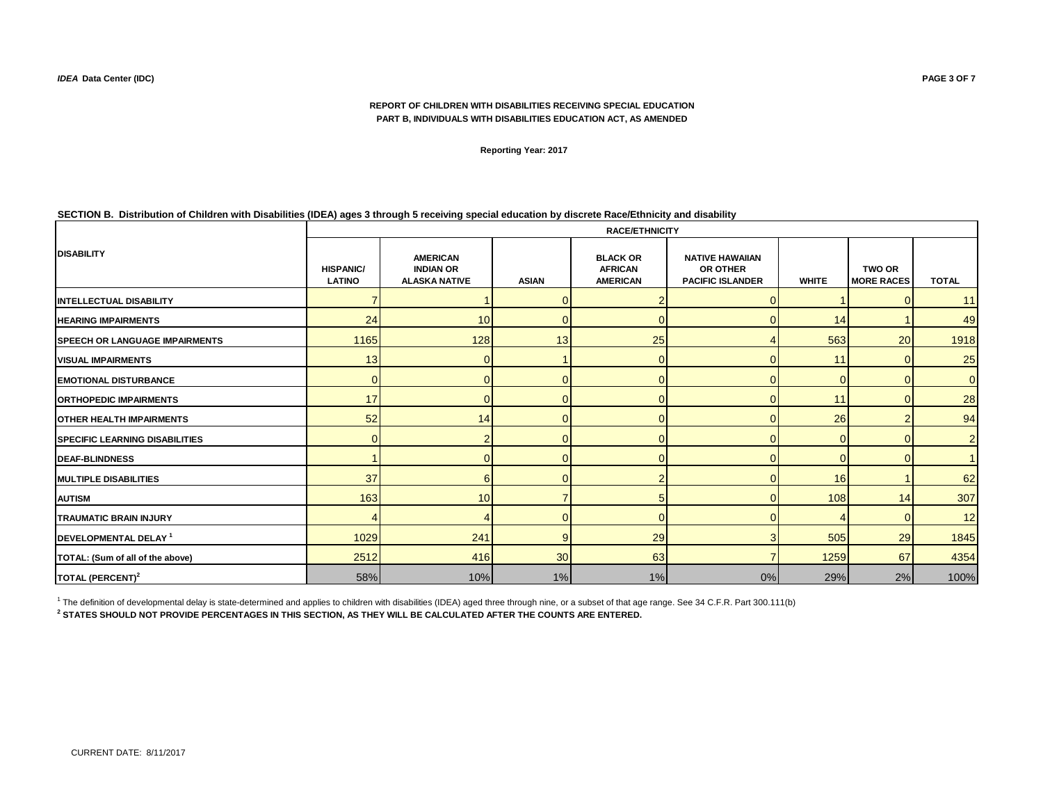**Reporting Year: 2017**

## **SECTION B. Distribution of Children with Disabilities (IDEA) ages 3 through 5 receiving special education by discrete Race/Ethnicity and disability**

|                                        | <b>RACE/ETHNICITY</b>             |                                                             |                 |                                                      |                                                                      |              |                                    |                |  |  |  |
|----------------------------------------|-----------------------------------|-------------------------------------------------------------|-----------------|------------------------------------------------------|----------------------------------------------------------------------|--------------|------------------------------------|----------------|--|--|--|
| <b>DISABILITY</b>                      | <b>HISPANIC/</b><br><b>LATINO</b> | <b>AMERICAN</b><br><b>INDIAN OR</b><br><b>ALASKA NATIVE</b> | <b>ASIAN</b>    | <b>BLACK OR</b><br><b>AFRICAN</b><br><b>AMERICAN</b> | <b>NATIVE HAWAIIAN</b><br><b>OR OTHER</b><br><b>PACIFIC ISLANDER</b> | <b>WHITE</b> | <b>TWO OR</b><br><b>MORE RACES</b> | <b>TOTAL</b>   |  |  |  |
| <b>INTELLECTUAL DISABILITY</b>         |                                   |                                                             |                 |                                                      |                                                                      |              |                                    | 11             |  |  |  |
| <b>HEARING IMPAIRMENTS</b>             | 24                                | 10                                                          |                 |                                                      | $\Omega$                                                             | 14           |                                    | 49             |  |  |  |
| <b>ISPEECH OR LANGUAGE IMPAIRMENTS</b> | 1165                              | 128                                                         | 13              | 25                                                   |                                                                      | 563          | 20                                 | 1918           |  |  |  |
| <b>VISUAL IMPAIRMENTS</b>              | 13                                | $\Omega$                                                    |                 | $\Omega$                                             | $\overline{0}$                                                       | 11           | U                                  | 25             |  |  |  |
| <b>EMOTIONAL DISTURBANCE</b>           | $\overline{0}$                    |                                                             |                 |                                                      | $\Omega$                                                             |              | $\Omega$                           | $\overline{0}$ |  |  |  |
| <b>ORTHOPEDIC IMPAIRMENTS</b>          | 17                                |                                                             |                 |                                                      | $\Omega$                                                             | 11           |                                    | 28             |  |  |  |
| <b>OTHER HEALTH IMPAIRMENTS</b>        | 52                                | 14                                                          |                 |                                                      | 0                                                                    | 26           |                                    | 94             |  |  |  |
| <b>SPECIFIC LEARNING DISABILITIES</b>  | $\Omega$                          |                                                             |                 |                                                      | $\Omega$                                                             | O            |                                    | 2 <sup>1</sup> |  |  |  |
| <b>DEAF-BLINDNESS</b>                  |                                   |                                                             |                 |                                                      | $\Omega$                                                             |              |                                    |                |  |  |  |
| <b>MULTIPLE DISABILITIES</b>           | 37                                | 6                                                           |                 |                                                      | $\Omega$                                                             | 16           |                                    | 62             |  |  |  |
| <b>AUTISM</b>                          | 163                               | 10                                                          |                 |                                                      | $\Omega$                                                             | 108          | 14                                 | 307            |  |  |  |
| <b>TRAUMATIC BRAIN INJURY</b>          |                                   |                                                             |                 | O                                                    | $\Omega$                                                             |              |                                    | 12             |  |  |  |
| DEVELOPMENTAL DELAY <sup>1</sup>       | 1029                              | 241                                                         | 9               | 29                                                   | 3                                                                    | 505          | 29                                 | 1845           |  |  |  |
| TOTAL: (Sum of all of the above)       | 2512                              | 416                                                         | 30 <sup>l</sup> | 63                                                   | 7                                                                    | 1259         | 67                                 | 4354           |  |  |  |
| TOTAL (PERCENT) <sup>2</sup>           | 58%                               | 10%                                                         | 1%              | 1%                                                   | 0%                                                                   | 29%          | 2%                                 | 100%           |  |  |  |

<sup>1</sup> The definition of developmental delay is state-determined and applies to children with disabilities (IDEA) aged three through nine, or a subset of that age range. See 34 C.F.R. Part 300.111(b)

**2 STATES SHOULD NOT PROVIDE PERCENTAGES IN THIS SECTION, AS THEY WILL BE CALCULATED AFTER THE COUNTS ARE ENTERED.**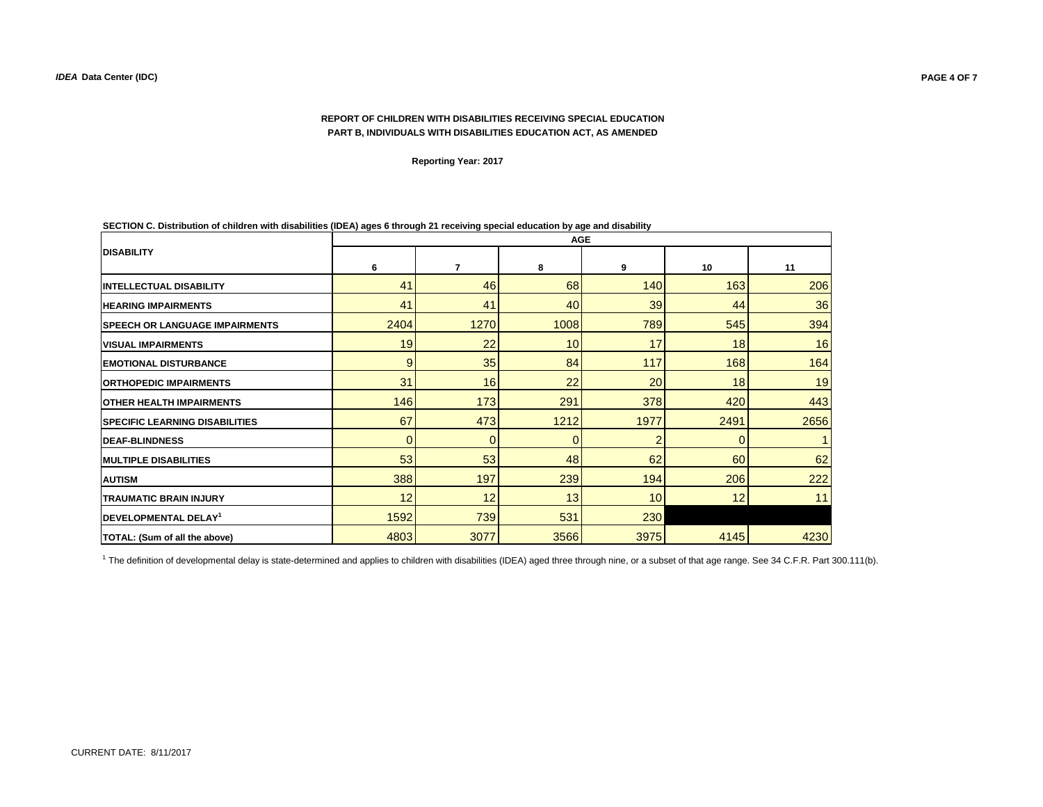**Reporting Year: 2017**

|                                       | <b>AGE</b> |                |             |      |             |      |  |  |
|---------------------------------------|------------|----------------|-------------|------|-------------|------|--|--|
| <b>IDISABILITY</b>                    | 6          | 7              | 8           | 9    | 10          | 11   |  |  |
| <b>INTELLECTUAL DISABILITY</b>        | 41         | 46             | 68          | 140  | 163         | 206  |  |  |
| <b>HEARING IMPAIRMENTS</b>            | 41         | 41             | 40          | 39   | 44          | 36   |  |  |
| <b>SPEECH OR LANGUAGE IMPAIRMENTS</b> | 2404       | 1270           | 1008        | 789  | 545         | 394  |  |  |
| <b>VISUAL IMPAIRMENTS</b>             | 19         | 22             | 10          | 17   | 18          | 16   |  |  |
| <b>EMOTIONAL DISTURBANCE</b>          | 9          | 35             | 84          | 117  | 168         | 164  |  |  |
| <b>ORTHOPEDIC IMPAIRMENTS</b>         | 31         | 16             | 22          | 20   | 18          | 19   |  |  |
| <b>OTHER HEALTH IMPAIRMENTS</b>       | 146        | 173            | 291         | 378  | 420         | 443  |  |  |
| <b>SPECIFIC LEARNING DISABILITIES</b> | 67         | 473            | 1212        | 1977 | 2491        | 2656 |  |  |
| <b>IDEAF-BLINDNESS</b>                | 0          | $\overline{0}$ | $\mathbf 0$ | 2    | $\mathbf 0$ |      |  |  |
| <b>MULTIPLE DISABILITIES</b>          | 53         | 53             | 48          | 62   | 60          | 62   |  |  |
| <b>AUTISM</b>                         | 388        | 197            | 239         | 194  | 206         | 222  |  |  |
| <b>TRAUMATIC BRAIN INJURY</b>         | 12         | 12             | 13          | 10   | 12          | 11   |  |  |
| DEVELOPMENTAL DELAY <sup>1</sup>      | 1592       | 739            | 531         | 230  |             |      |  |  |
| TOTAL: (Sum of all the above)         | 4803       | 3077           | 3566        | 3975 | 4145        | 4230 |  |  |

**SECTION C. Distribution of children with disabilities (IDEA) ages 6 through 21 receiving special education by age and disability** 

<sup>1</sup> The definition of developmental delay is state-determined and applies to children with disabilities (IDEA) aged three through nine, or a subset of that age range. See 34 C.F.R. Part 300.111(b).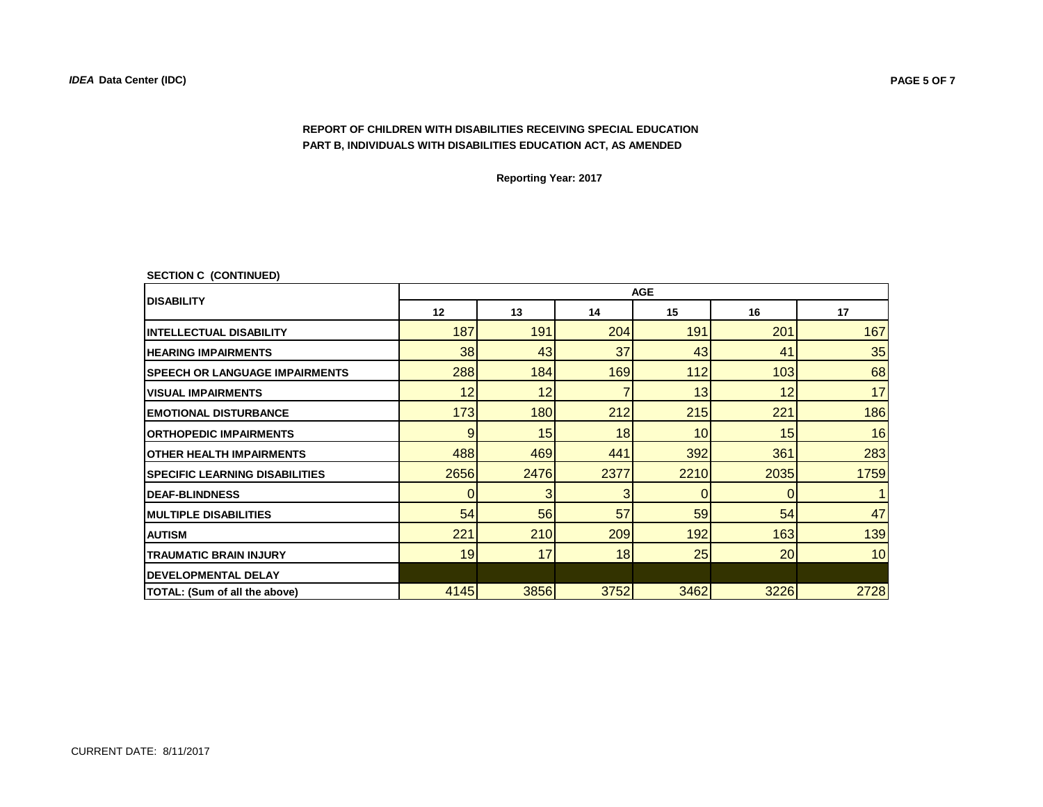**Reporting Year: 2017**

|  | <b>SECTION C (CONTINUED)</b> |
|--|------------------------------|
|--|------------------------------|

|                                       | <b>AGE</b> |      |             |      |          |      |  |  |  |
|---------------------------------------|------------|------|-------------|------|----------|------|--|--|--|
| <b>IDISABILITY</b>                    | 12         | 13   | 14          | 15   | 16       | 17   |  |  |  |
| <b>IINTELLECTUAL DISABILITY</b>       | 187        | 191  | 204         | 191  | 201      | 167  |  |  |  |
| <b>HEARING IMPAIRMENTS</b>            | 38         | 43   | 37          | 43   | 41       | 35   |  |  |  |
| <b>SPEECH OR LANGUAGE IMPAIRMENTS</b> | 288        | 184  | 169         | 112  | 103      | 68   |  |  |  |
| <b>VISUAL IMPAIRMENTS</b>             | 12         | 12   | 7           | 13   | 12       | 17   |  |  |  |
| <b>EMOTIONAL DISTURBANCE</b>          | 173        | 180  | 212         | 215  | 221      | 186  |  |  |  |
| <b>IORTHOPEDIC IMPAIRMENTS</b>        | 9          | 15   | 18          | 10   | 15       | 16   |  |  |  |
| <b>OTHER HEALTH IMPAIRMENTS</b>       | 488        | 469  | 441         | 392  | 361      | 283  |  |  |  |
| <b>SPECIFIC LEARNING DISABILITIES</b> | 2656       | 2476 | 2377        | 2210 | 2035     | 1759 |  |  |  |
| <b>IDEAF-BLINDNESS</b>                | 0          | 3    | 3           | 0    | $\Omega$ |      |  |  |  |
| <b>IMULTIPLE DISABILITIES</b>         | 54         | 56   | 57          | 59   | 54       | 47   |  |  |  |
| <b>AUTISM</b>                         | 221        | 210  | 209         | 192  | 163      | 139  |  |  |  |
| <b>TRAUMATIC BRAIN INJURY</b>         | 19         | 17   | 18          | 25   | 20       | 10   |  |  |  |
| <b>IDEVELOPMENTAL DELAY</b>           |            |      |             |      |          |      |  |  |  |
| <b>TOTAL: (Sum of all the above)</b>  | 4145       | 3856 | <b>3752</b> | 3462 | 3226     | 2728 |  |  |  |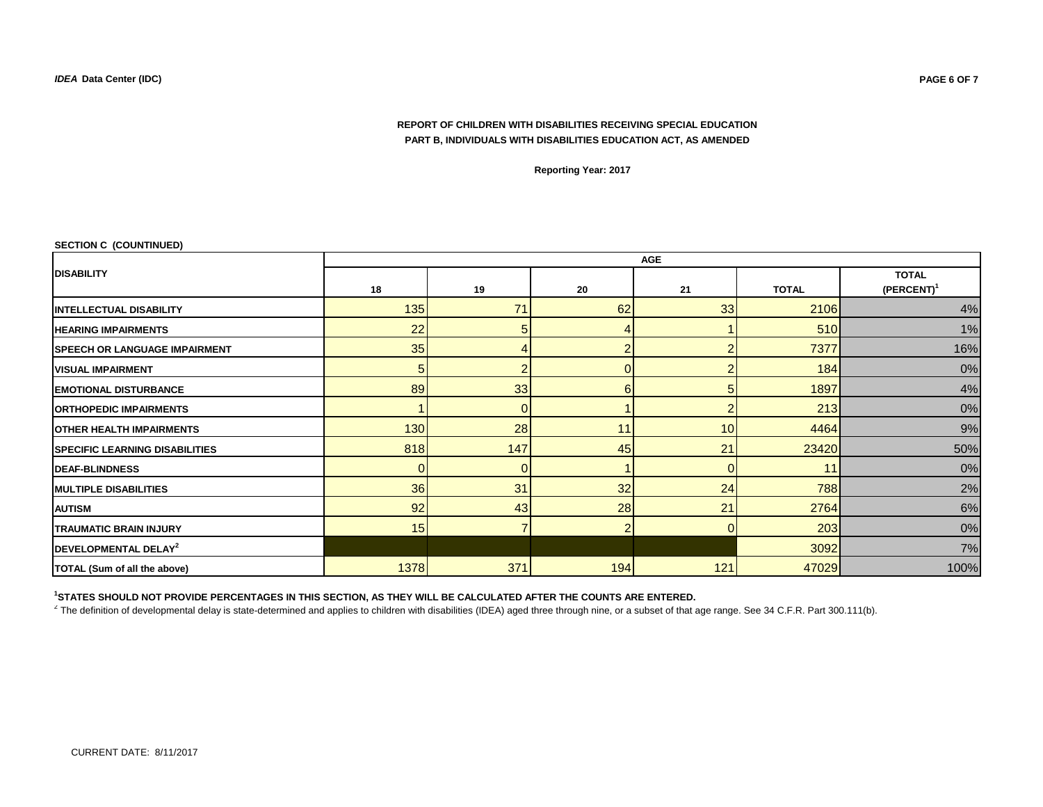**Reporting Year: 2017**

|  | <b>SECTION C (COUNTINUED)</b> |
|--|-------------------------------|
|--|-------------------------------|

|                                       | <b>AGE</b> |                          |                |                |              |                               |  |  |  |
|---------------------------------------|------------|--------------------------|----------------|----------------|--------------|-------------------------------|--|--|--|
| <b>DISABILITY</b>                     | 18         | 19                       | 20             | 21             | <b>TOTAL</b> | <b>TOTAL</b><br>$(PERCENT)^1$ |  |  |  |
| <b>INTELLECTUAL DISABILITY</b>        | 135        | 71                       | 62             | 33             | 2106         | 4%                            |  |  |  |
| <b>HEARING IMPAIRMENTS</b>            | 22         | 5                        |                |                | 510          | 1%                            |  |  |  |
| <b>SPEECH OR LANGUAGE IMPAIRMENT</b>  | 35         |                          | ◠              | ◠              | 7377         | 16%                           |  |  |  |
| <b>VISUAL IMPAIRMENT</b>              | 5          | n                        |                |                | 184          | 0%                            |  |  |  |
| <b>EMOTIONAL DISTURBANCE</b>          | 89         | 33                       | 6              | 5              | 1897         | 4%                            |  |  |  |
| <b>ORTHOPEDIC IMPAIRMENTS</b>         |            | 0                        |                | $\mathfrak{p}$ | 213          | $0\%$                         |  |  |  |
| <b>OTHER HEALTH IMPAIRMENTS</b>       | 130        | 28                       | 11             | 10             | 4464         | $9\%$                         |  |  |  |
| <b>SPECIFIC LEARNING DISABILITIES</b> | 818        | 147                      | 45             | 21             | 23420        | 50%                           |  |  |  |
| <b>DEAF-BLINDNESS</b>                 |            | 0                        |                | 0              | 11           | $0\%$                         |  |  |  |
| <b>MULTIPLE DISABILITIES</b>          | 36         | 31                       | 32             | 24             | 788          | 2%                            |  |  |  |
| <b>AUTISM</b>                         | 92         | 43                       | 28             | 21             | 2764         | 6%                            |  |  |  |
| <b>TRAUMATIC BRAIN INJURY</b>         | 15         | $\overline{\phantom{a}}$ | $\overline{2}$ | $\overline{0}$ | 203          | 0%                            |  |  |  |
| DEVELOPMENTAL DELAY <sup>2</sup>      |            |                          |                |                | 3092         | 7%                            |  |  |  |
| TOTAL (Sum of all the above)          | 1378       | 371                      | 194            | 121            | 47029        | 100%                          |  |  |  |

**1 STATES SHOULD NOT PROVIDE PERCENTAGES IN THIS SECTION, AS THEY WILL BE CALCULATED AFTER THE COUNTS ARE ENTERED.**

 $^2$  The definition of developmental delay is state-determined and applies to children with disabilities (IDEA) aged three through nine, or a subset of that age range. See 34 C.F.R. Part 300.111(b).